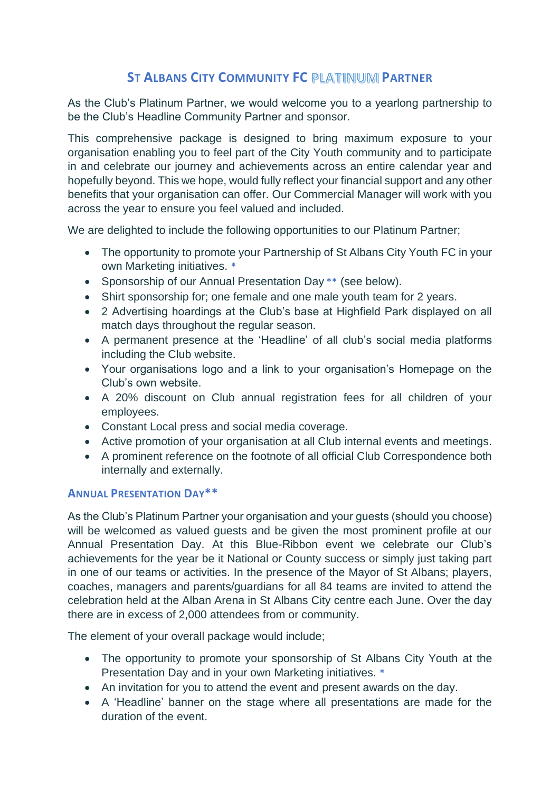## **ST ALBANS CITY COMMUNITY FC PARTNER**

As the Club's Platinum Partner, we would welcome you to a yearlong partnership to be the Club's Headline Community Partner and sponsor.

This comprehensive package is designed to bring maximum exposure to your organisation enabling you to feel part of the City Youth community and to participate in and celebrate our journey and achievements across an entire calendar year and hopefully beyond. This we hope, would fully reflect your financial support and any other benefits that your organisation can offer. Our Commercial Manager will work with you across the year to ensure you feel valued and included.

We are delighted to include the following opportunities to our Platinum Partner;

- The opportunity to promote your Partnership of St Albans City Youth FC in your own Marketing initiatives. **\***
- Sponsorship of our Annual Presentation Day **\*\*** (see below).
- Shirt sponsorship for: one female and one male youth team for 2 years.
- 2 Advertising hoardings at the Club's base at Highfield Park displayed on all match days throughout the regular season.
- A permanent presence at the 'Headline' of all club's social media platforms including the Club website.
- Your organisations logo and a link to your organisation's Homepage on the Club's own website.
- A 20% discount on Club annual registration fees for all children of your employees.
- Constant Local press and social media coverage.
- Active promotion of your organisation at all Club internal events and meetings.
- A prominent reference on the footnote of all official Club Correspondence both internally and externally.

## **ANNUAL PRESENTATION DAY\*\***

As the Club's Platinum Partner your organisation and your guests (should you choose) will be welcomed as valued guests and be given the most prominent profile at our Annual Presentation Day. At this Blue-Ribbon event we celebrate our Club's achievements for the year be it National or County success or simply just taking part in one of our teams or activities. In the presence of the Mayor of St Albans; players, coaches, managers and parents/guardians for all 84 teams are invited to attend the celebration held at the Alban Arena in St Albans City centre each June. Over the day there are in excess of 2,000 attendees from or community.

The element of your overall package would include;

- The opportunity to promote your sponsorship of St Albans City Youth at the Presentation Day and in your own Marketing initiatives. **\***
- An invitation for you to attend the event and present awards on the day.
- A 'Headline' banner on the stage where all presentations are made for the duration of the event.